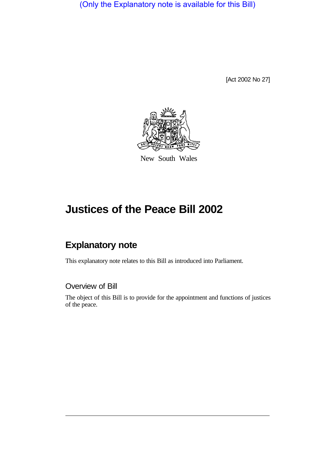(Only the Explanatory note is available for this Bill)

[Act 2002 No 27]



New South Wales

# **Justices of the Peace Bill 2002**

# **Explanatory note**

This explanatory note relates to this Bill as introduced into Parliament.

#### Overview of Bill

The object of this Bill is to provide for the appointment and functions of justices of the peace.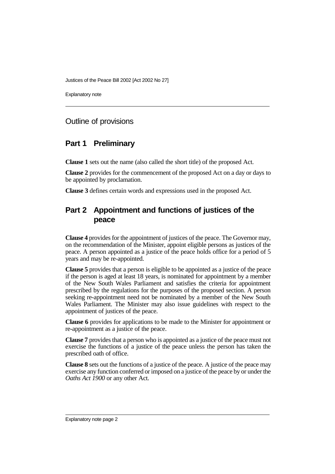Justices of the Peace Bill 2002 [Act 2002 No 27]

Explanatory note

#### Outline of provisions

#### **Part 1 Preliminary**

**Clause 1** sets out the name (also called the short title) of the proposed Act.

**Clause 2** provides for the commencement of the proposed Act on a day or days to be appointed by proclamation.

**Clause 3** defines certain words and expressions used in the proposed Act.

## **Part 2 Appointment and functions of justices of the peace**

**Clause 4** provides for the appointment of justices of the peace. The Governor may, on the recommendation of the Minister, appoint eligible persons as justices of the peace. A person appointed as a justice of the peace holds office for a period of 5 years and may be re-appointed.

**Clause 5** provides that a person is eligible to be appointed as a justice of the peace if the person is aged at least 18 years, is nominated for appointment by a member of the New South Wales Parliament and satisfies the criteria for appointment prescribed by the regulations for the purposes of the proposed section. A person seeking re-appointment need not be nominated by a member of the New South Wales Parliament. The Minister may also issue guidelines with respect to the appointment of justices of the peace.

**Clause 6** provides for applications to be made to the Minister for appointment or re-appointment as a justice of the peace.

**Clause 7** provides that a person who is appointed as a justice of the peace must not exercise the functions of a justice of the peace unless the person has taken the prescribed oath of office.

**Clause 8** sets out the functions of a justice of the peace. A justice of the peace may exercise any function conferred or imposed on a justice of the peace by or under the *Oaths Act 1900* or any other Act.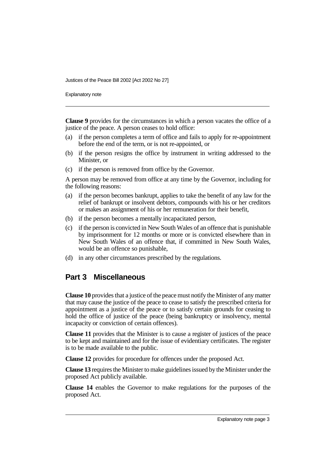Justices of the Peace Bill 2002 [Act 2002 No 27]

Explanatory note

**Clause 9** provides for the circumstances in which a person vacates the office of a justice of the peace. A person ceases to hold office:

- (a) if the person completes a term of office and fails to apply for re-appointment before the end of the term, or is not re-appointed, or
- (b) if the person resigns the office by instrument in writing addressed to the Minister, or
- (c) if the person is removed from office by the Governor.

A person may be removed from office at any time by the Governor, including for the following reasons:

- (a) if the person becomes bankrupt, applies to take the benefit of any law for the relief of bankrupt or insolvent debtors, compounds with his or her creditors or makes an assignment of his or her remuneration for their benefit,
- (b) if the person becomes a mentally incapacitated person,
- (c) if the person is convicted in New South Wales of an offence that is punishable by imprisonment for 12 months or more or is convicted elsewhere than in New South Wales of an offence that, if committed in New South Wales, would be an offence so punishable,
- (d) in any other circumstances prescribed by the regulations.

#### **Part 3 Miscellaneous**

**Clause 10** provides that a justice of the peace must notify the Minister of any matter that may cause the justice of the peace to cease to satisfy the prescribed criteria for appointment as a justice of the peace or to satisfy certain grounds for ceasing to hold the office of justice of the peace (being bankruptcy or insolvency, mental incapacity or conviction of certain offences).

**Clause 11** provides that the Minister is to cause a register of justices of the peace to be kept and maintained and for the issue of evidentiary certificates. The register is to be made available to the public.

**Clause 12** provides for procedure for offences under the proposed Act.

**Clause 13** requires the Minister to make guidelines issued by the Minister under the proposed Act publicly available.

**Clause 14** enables the Governor to make regulations for the purposes of the proposed Act.